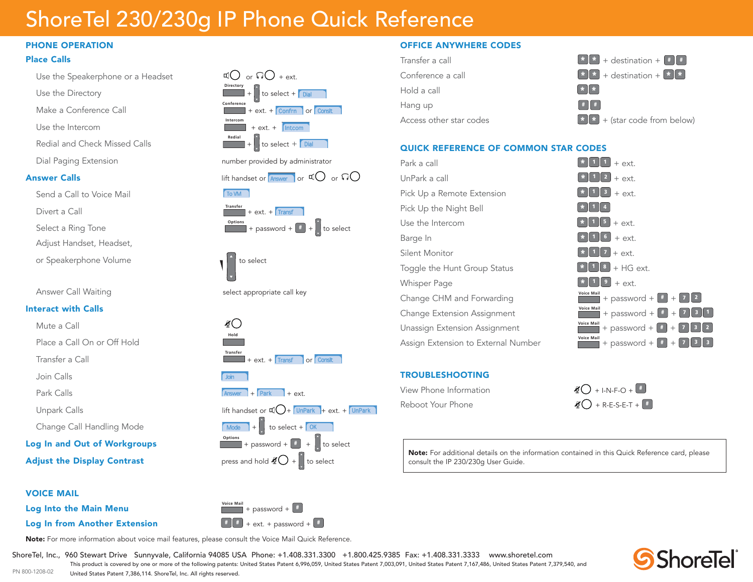# ShoreTel 230/230g IP Phone Quick Reference

#### PHONE OPERATION

#### Place Calls

Use the Speakerphone or a Headset

Use the Directory

Make a Conference Call

Use the Intercom **Intercom**

Redial and Check Missed Calls

Send a Call to Voice Mail

Divert a Call **Transfer** 

**Select a Ring Tone** 

Adjust Handset, Headset,

or Speakerphone Volume to select the select

Answer Call Waiting select appropriate call key

#### Interact with Calls

Mute a Call

Place a Call On or Off Hold

Transfer a Call **Transfer**

Join Calls

Park Calls

Change Call Handling Mode

**Log In and Out of Workgroups** 

**Adjust the Display Contrast** 

#### VOICE MAIL

**Log Into the Main Menu** 

**Directory**  $\frac{1}{\sqrt{2}}$  to select +  $\frac{1}{2}$  bial  $\frac{1}{\sqrt{N\cdot\ln(N)}}$  + ext. +  $\sqrt{N\cdot\ln(N)}$  $\Box$  or  $\Box$  + ext  $+$  ext.  $+$  Confrn  $\vert$  or  $\vert$  Conslt  $\vert$ **Redial** December 1980  $\begin{array}{|c|c|c|c|c|}\n\hline\n\hline\n\hline\n\end{array}$  + to select + **Dial**  $Intercom$ 

5N0ARK -ODE 0ICKUP 5N0ARK -ODE 0ICKUP









5N0ARK -ODE 0ICKUP



#### OFFICE ANYWHERE CODES

| $\lfloor \cdot \rfloor \rfloor$ + destination + $\lfloor \cdot \rfloor$ #                                   |
|-------------------------------------------------------------------------------------------------------------|
| $\begin{bmatrix} \star & \star \end{bmatrix}$ + destination + $\begin{bmatrix} \star & \star \end{bmatrix}$ |
| $*$   $*$                                                                                                   |
| $#$ $#$                                                                                                     |
| $\begin{bmatrix} \star & \star \end{bmatrix}$ + (star code from below)                                      |
|                                                                                                             |

### QUICK REFERENCE OF COMMON STAR CODES

| Park a call                         | $+$ ext.                                                                                                            |
|-------------------------------------|---------------------------------------------------------------------------------------------------------------------|
| UnPark a call                       | $\overline{2}$<br>$+$ ext.                                                                                          |
| Pick Up a Remote Extension          | 3<br>$+$ ext.                                                                                                       |
| Pick Up the Night Bell              |                                                                                                                     |
| Use the Intercom                    | $\sqrt{5}$<br>$+$ ext.                                                                                              |
| Barge In                            | 6 <sub>1</sub><br>$+$ ext.                                                                                          |
| Silent Monitor                      | $+$ ext.                                                                                                            |
| Toggle the Hunt Group Status        | $+$ HG ext.<br>$\mathbf{8}$                                                                                         |
| <b>Whisper Page</b>                 | 9<br>$+$ ext.                                                                                                       |
| Change CHM and Forwarding           | <b>Voice Mail</b><br>$\vert$ 2                                                                                      |
| Change Extension Assignment         | <b>Voice Mail</b><br>+ password + $\begin{bmatrix} 1 \\ 2 \end{bmatrix}$ + $\begin{bmatrix} 1 \\ 3 \end{bmatrix}$ 1 |
| Unassign Extension Assignment       | <b>Voice Mail</b><br>$\begin{bmatrix} 3 \end{bmatrix}$ 2                                                            |
| Assign Extension to External Number | <b>Voice Mail</b><br>$\overline{\phantom{a}}$<br>+ password + $\parallel$ #<br>$^{+}$                               |
|                                     |                                                                                                                     |

#### TROUBLESHOOTING

| View Phone Information | $\mathcal{L}$ + I-N-F-O +                  |
|------------------------|--------------------------------------------|
| Reboot Your Phone      | $\mathcal{L}$ + R-E-S-E-T + $\boxed{\ast}$ |

 $\vert$  consult the IP 230/230g User Guide. Note: For additional details on the information contained in this Quick Reference card, please



ShoreTel, Inc., 960 Stewart Drive Sunnyvale, California 94085 USA Phone: +1.408.331.3300 +1.800.425.9385 Fax: +1.408.331.3333 www.shoretel.com PN 800-1208-02 This product is covered by one or more of the following patents: United States Patent 6,996,059, United States Patent 7,003,091, United States Patent 7,167,486, United States Patent 7,379,540, and United States Patent 7,386,114. ShoreTel, Inc. All rights reserved.